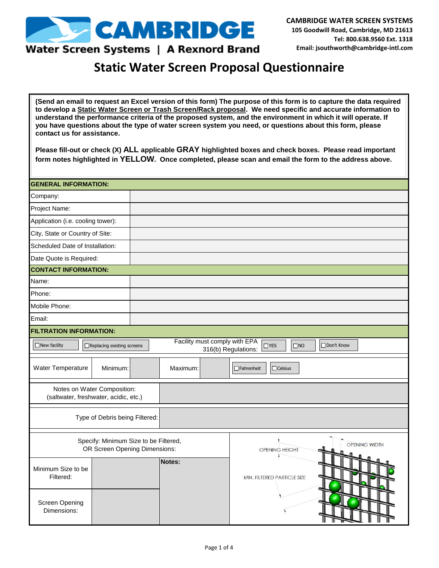

### Water Screen Systems | A Rexnord Brand

## **Static Water Screen Proposal Questionnaire**

**(Send an email to request an Excel version of this form) The purpose of this form is to capture the data required to develop a Static Water Screen or Trash Screen/Rack proposal. We need specific and accurate information to understand the performance criteria of the proposed system, and the environment in which it will operate. If you have questions about the type of water screen system you need, or questions about this form, please contact us for assistance.** 

**Please fill-out or check (X) ALL applicable GRAY highlighted boxes and check boxes. Please read important form notes highlighted in YELLOW. Once completed, please scan and email the form to the address above.** 

| <b>GENERAL INFORMATION:</b>                                            |                                                                                                                                |  |          |  |                                        |
|------------------------------------------------------------------------|--------------------------------------------------------------------------------------------------------------------------------|--|----------|--|----------------------------------------|
| Company:                                                               |                                                                                                                                |  |          |  |                                        |
| Project Name:                                                          |                                                                                                                                |  |          |  |                                        |
| Application (i.e. cooling tower):                                      |                                                                                                                                |  |          |  |                                        |
| City, State or Country of Site:                                        |                                                                                                                                |  |          |  |                                        |
| Scheduled Date of Installation:                                        |                                                                                                                                |  |          |  |                                        |
| Date Quote is Required:                                                |                                                                                                                                |  |          |  |                                        |
| <b>CONTACT INFORMATION:</b>                                            |                                                                                                                                |  |          |  |                                        |
| Name:                                                                  |                                                                                                                                |  |          |  |                                        |
| Phone:                                                                 |                                                                                                                                |  |          |  |                                        |
| Mobile Phone:                                                          |                                                                                                                                |  |          |  |                                        |
| Email:                                                                 |                                                                                                                                |  |          |  |                                        |
| <b>FILTRATION INFORMATION:</b>                                         |                                                                                                                                |  |          |  |                                        |
| $\Box$ New facility                                                    | Facility must comply with EPA<br>□ Replacing existing screens<br>$\Box$ YES<br>$\Box$ NO<br>□Don't Know<br>316(b) Regulations: |  |          |  |                                        |
| Water Temperature                                                      | Minimum:                                                                                                                       |  | Maximum: |  | $\Box$ Fahrenheit<br>$\Box$ Celsius    |
| Notes on Water Composition:<br>(saltwater, freshwater, acidic, etc.)   |                                                                                                                                |  |          |  |                                        |
|                                                                        | Type of Debris being Filtered:                                                                                                 |  |          |  |                                        |
| Specify: Minimum Size to be Filtered,<br>OR Screen Opening Dimensions: |                                                                                                                                |  |          |  | OPENING WIDTH<br><b>OPENING HEIGHT</b> |
| Minimum Size to be<br>Filtered:                                        |                                                                                                                                |  | Notes:   |  | MIN. FILTERED PARTICLE SIZE            |
| <b>Screen Opening</b><br>Dimensions:                                   |                                                                                                                                |  |          |  |                                        |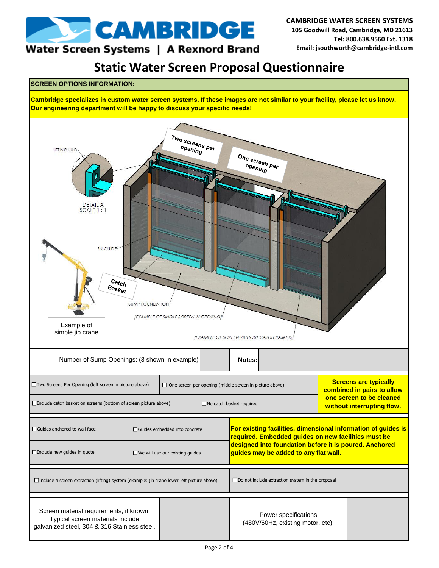

#### **CAMBRIDGE WATER SCREEN SYSTEMS 105 Goodwill Road, Cambridge, MD 21613 Tel: 800.638.9560 Ext. 1318 Email: jsouthworth@cambridge-intl.com**

### Water Screen Systems | A Rexnord Brand

**Static Water Screen Proposal Questionnaire**

#### **SCREEN OPTIONS INFORMATION:**

**Cambridge specializes in custom water screen systems. If these images are not similar to your facility, please let us know. Our engineering department will be happy to discuss your specific needs!**

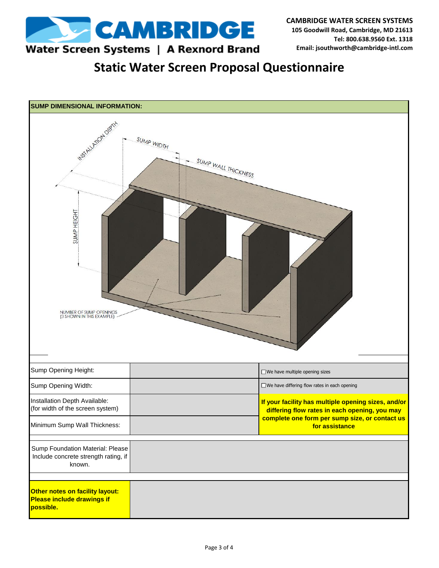

Water Screen Systems | A Rexnord Brand

**Static Water Screen Proposal Questionnaire**